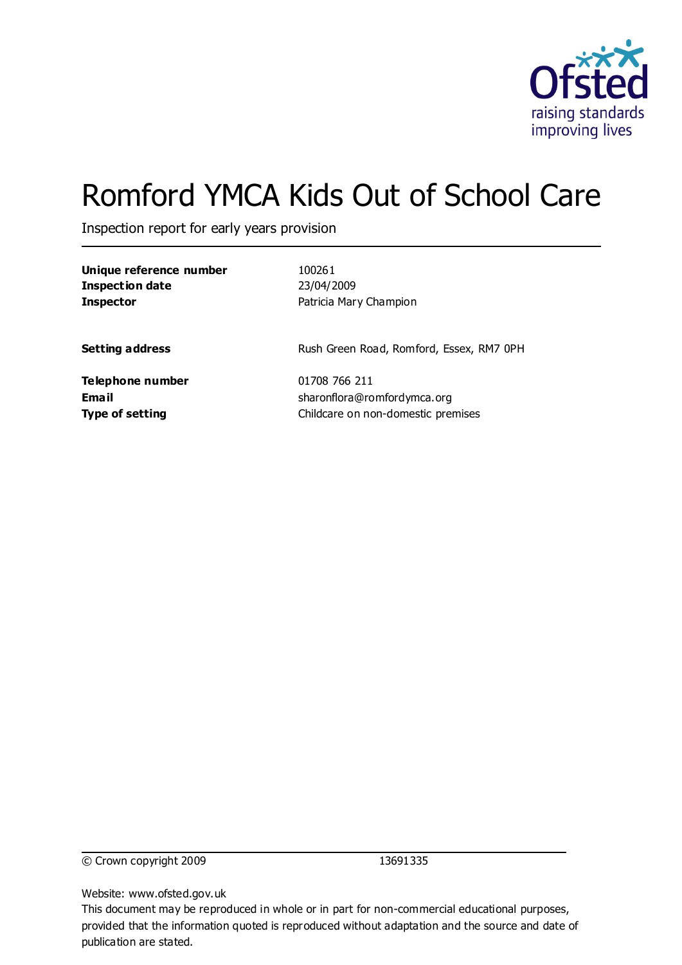

# Romford YMCA Kids Out of School Care

Inspection report for early years provision

| 23/04/2009<br>Patricia Mary Champion<br>Rush Green Road, Romford, Essex, RM7 0PH<br>01708 766 211 | <b>Inspection date</b><br><b>Inspector</b><br><b>Setting address</b><br>Telephone number<br>Email<br>sharonflora@romfordymca.org<br><b>Type of setting</b><br>Childcare on non-domestic premises | Unique reference number | 100261 |
|---------------------------------------------------------------------------------------------------|--------------------------------------------------------------------------------------------------------------------------------------------------------------------------------------------------|-------------------------|--------|
|                                                                                                   |                                                                                                                                                                                                  |                         |        |
|                                                                                                   |                                                                                                                                                                                                  |                         |        |
|                                                                                                   |                                                                                                                                                                                                  |                         |        |
|                                                                                                   |                                                                                                                                                                                                  |                         |        |
|                                                                                                   |                                                                                                                                                                                                  |                         |        |
|                                                                                                   |                                                                                                                                                                                                  |                         |        |
|                                                                                                   |                                                                                                                                                                                                  |                         |        |
|                                                                                                   |                                                                                                                                                                                                  |                         |        |

© Crown copyright 2009 13691335

Website: www.ofsted.gov.uk

This document may be reproduced in whole or in part for non-commercial educational purposes, provided that the information quoted is reproduced without adaptation and the source and date of publication are stated.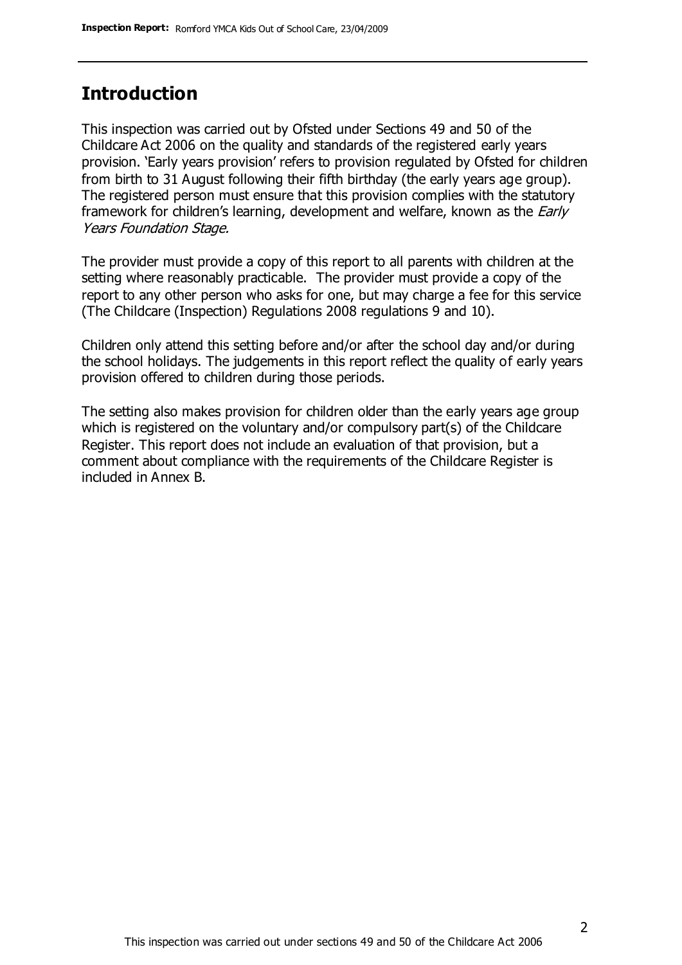#### **Introduction**

This inspection was carried out by Ofsted under Sections 49 and 50 of the Childcare Act 2006 on the quality and standards of the registered early years provision. 'Early years provision' refers to provision regulated by Ofsted for children from birth to 31 August following their fifth birthday (the early years age group). The registered person must ensure that this provision complies with the statutory framework for children's learning, development and welfare, known as the *Early* Years Foundation Stage.

The provider must provide a copy of this report to all parents with children at the setting where reasonably practicable. The provider must provide a copy of the report to any other person who asks for one, but may charge a fee for this service (The Childcare (Inspection) Regulations 2008 regulations 9 and 10).

Children only attend this setting before and/or after the school day and/or during the school holidays. The judgements in this report reflect the quality of early years provision offered to children during those periods.

The setting also makes provision for children older than the early years age group which is registered on the voluntary and/or compulsory part(s) of the Childcare Register. This report does not include an evaluation of that provision, but a comment about compliance with the requirements of the Childcare Register is included in Annex B.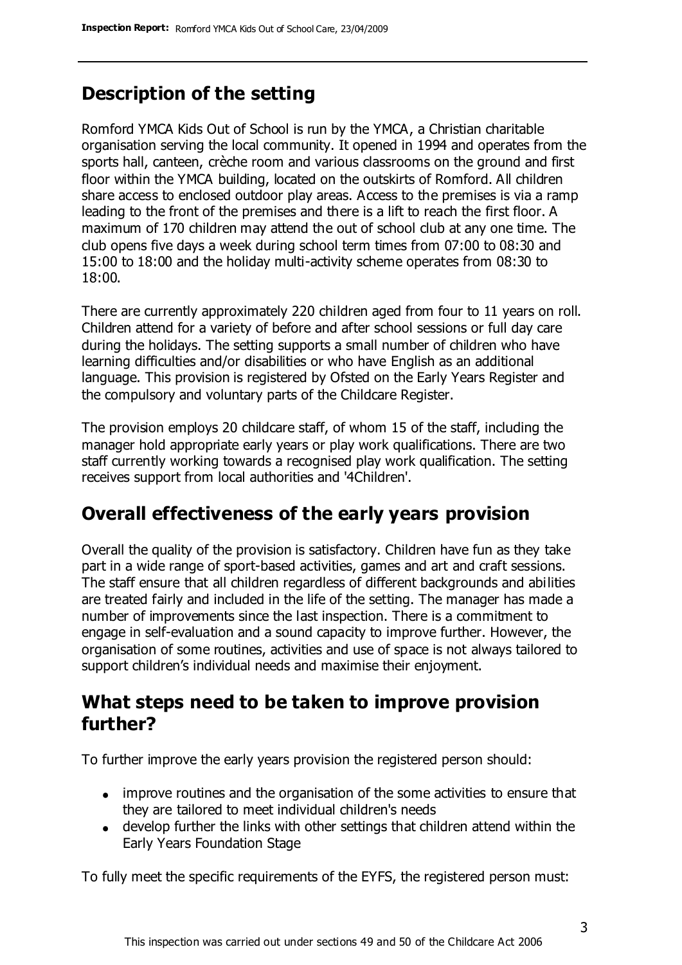# **Description of the setting**

Romford YMCA Kids Out of School is run by the YMCA, a Christian charitable organisation serving the local community. It opened in 1994 and operates from the sports hall, canteen, crèche room and various classrooms on the ground and first floor within the YMCA building, located on the outskirts of Romford. All children share access to enclosed outdoor play areas. Access to the premises is via a ramp leading to the front of the premises and there is a lift to reach the first floor. A maximum of 170 children may attend the out of school club at any one time. The club opens five days a week during school term times from 07:00 to 08:30 and 15:00 to 18:00 and the holiday multi-activity scheme operates from 08:30 to 18:00.

There are currently approximately 220 children aged from four to 11 years on roll. Children attend for a variety of before and after school sessions or full day care during the holidays. The setting supports a small number of children who have learning difficulties and/or disabilities or who have English as an additional language. This provision is registered by Ofsted on the Early Years Register and the compulsory and voluntary parts of the Childcare Register.

The provision employs 20 childcare staff, of whom 15 of the staff, including the manager hold appropriate early years or play work qualifications. There are two staff currently working towards a recognised play work qualification. The setting receives support from local authorities and '4Children'.

## **Overall effectiveness of the early years provision**

Overall the quality of the provision is satisfactory. Children have fun as they take part in a wide range of sport-based activities, games and art and craft sessions. The staff ensure that all children regardless of different backgrounds and abilities are treated fairly and included in the life of the setting. The manager has made a number of improvements since the last inspection. There is a commitment to engage in self-evaluation and a sound capacity to improve further. However, the organisation of some routines, activities and use of space is not always tailored to support children's individual needs and maximise their enjoyment.

#### **What steps need to be taken to improve provision further?**

To further improve the early years provision the registered person should:

- improve routines and the organisation of the some activities to ensure that they are tailored to meet individual children's needs
- develop further the links with other settings that children attend within the Early Years Foundation Stage

To fully meet the specific requirements of the EYFS, the registered person must: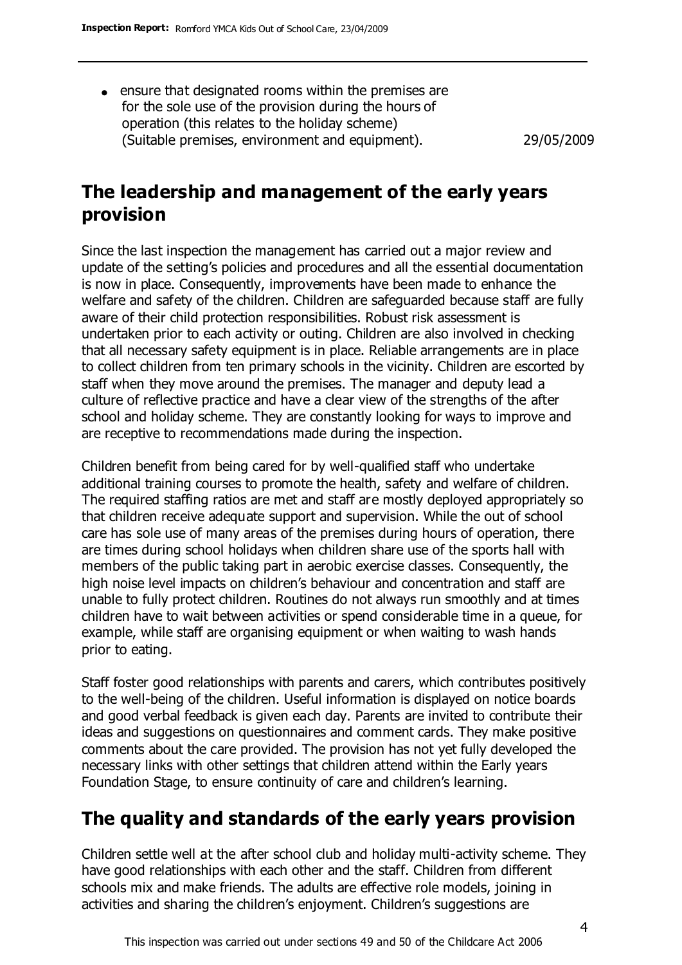ensure that designated rooms within the premises are for the sole use of the provision during the hours of operation (this relates to the holiday scheme) (Suitable premises, environment and equipment). 29/05/2009

# **The leadership and management of the early years provision**

Since the last inspection the management has carried out a major review and update of the setting's policies and procedures and all the essential documentation is now in place. Consequently, improvements have been made to enhance the welfare and safety of the children. Children are safeguarded because staff are fully aware of their child protection responsibilities. Robust risk assessment is undertaken prior to each activity or outing. Children are also involved in checking that all necessary safety equipment is in place. Reliable arrangements are in place to collect children from ten primary schools in the vicinity. Children are escorted by staff when they move around the premises. The manager and deputy lead a culture of reflective practice and have a clear view of the strengths of the after school and holiday scheme. They are constantly looking for ways to improve and are receptive to recommendations made during the inspection.

Children benefit from being cared for by well-qualified staff who undertake additional training courses to promote the health, safety and welfare of children. The required staffing ratios are met and staff are mostly deployed appropriately so that children receive adequate support and supervision. While the out of school care has sole use of many areas of the premises during hours of operation, there are times during school holidays when children share use of the sports hall with members of the public taking part in aerobic exercise classes. Consequently, the high noise level impacts on children's behaviour and concentration and staff are unable to fully protect children. Routines do not always run smoothly and at times children have to wait between activities or spend considerable time in a queue, for example, while staff are organising equipment or when waiting to wash hands prior to eating.

Staff foster good relationships with parents and carers, which contributes positively to the well-being of the children. Useful information is displayed on notice boards and good verbal feedback is given each day. Parents are invited to contribute their ideas and suggestions on questionnaires and comment cards. They make positive comments about the care provided. The provision has not yet fully developed the necessary links with other settings that children attend within the Early years Foundation Stage, to ensure continuity of care and children's learning.

# **The quality and standards of the early years provision**

Children settle well at the after school club and holiday multi-activity scheme. They have good relationships with each other and the staff. Children from different schools mix and make friends. The adults are effective role models, joining in activities and sharing the children's enjoyment. Children's suggestions are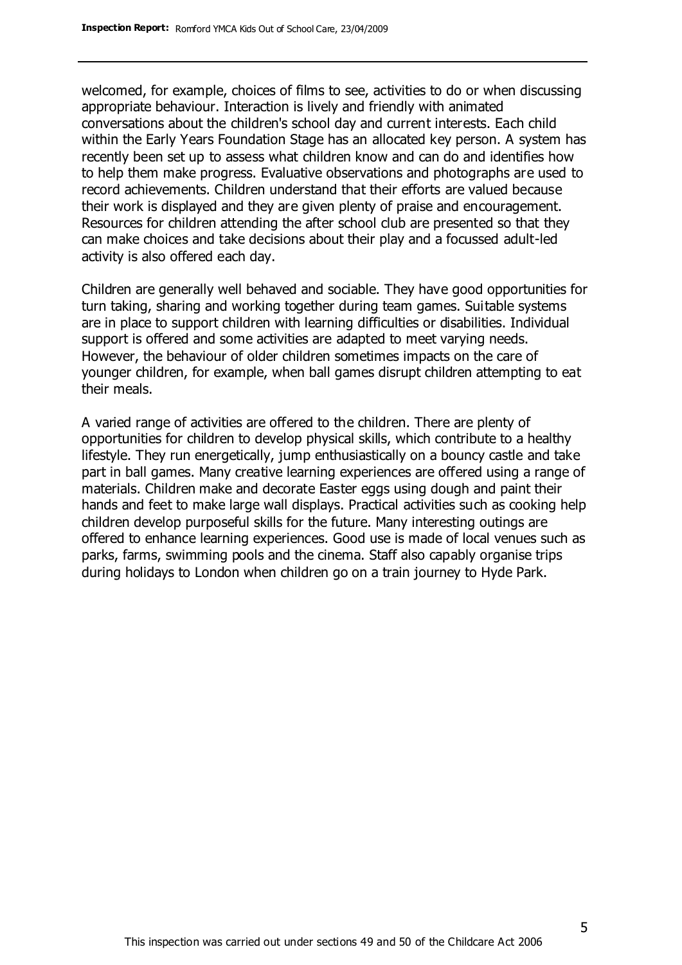welcomed, for example, choices of films to see, activities to do or when discussing appropriate behaviour. Interaction is lively and friendly with animated conversations about the children's school day and current interests. Each child within the Early Years Foundation Stage has an allocated key person. A system has recently been set up to assess what children know and can do and identifies how to help them make progress. Evaluative observations and photographs are used to record achievements. Children understand that their efforts are valued because their work is displayed and they are given plenty of praise and encouragement. Resources for children attending the after school club are presented so that they can make choices and take decisions about their play and a focussed adult-led activity is also offered each day.

Children are generally well behaved and sociable. They have good opportunities for turn taking, sharing and working together during team games. Suitable systems are in place to support children with learning difficulties or disabilities. Individual support is offered and some activities are adapted to meet varying needs. However, the behaviour of older children sometimes impacts on the care of younger children, for example, when ball games disrupt children attempting to eat their meals.

A varied range of activities are offered to the children. There are plenty of opportunities for children to develop physical skills, which contribute to a healthy lifestyle. They run energetically, jump enthusiastically on a bouncy castle and take part in ball games. Many creative learning experiences are offered using a range of materials. Children make and decorate Easter eggs using dough and paint their hands and feet to make large wall displays. Practical activities such as cooking help children develop purposeful skills for the future. Many interesting outings are offered to enhance learning experiences. Good use is made of local venues such as parks, farms, swimming pools and the cinema. Staff also capably organise trips during holidays to London when children go on a train journey to Hyde Park.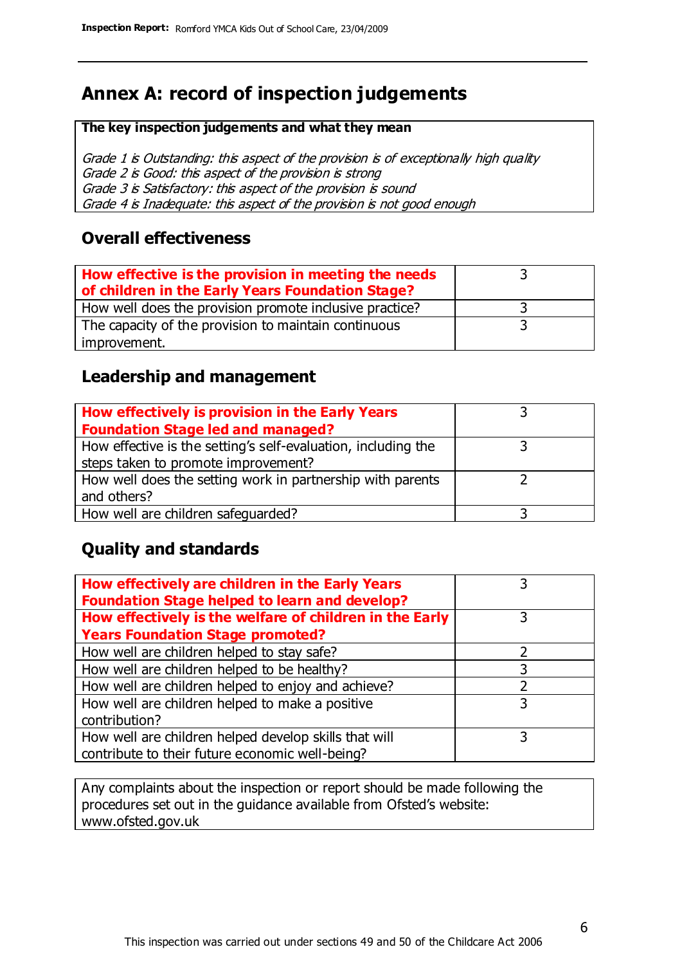# **Annex A: record of inspection judgements**

#### **The key inspection judgements and what they mean**

Grade 1 is Outstanding: this aspect of the provision is of exceptionally high quality Grade 2 is Good: this aspect of the provision is strong Grade 3 is Satisfactory: this aspect of the provision is sound Grade 4 is Inadequate: this aspect of the provision is not good enough

#### **Overall effectiveness**

| How effective is the provision in meeting the needs<br>of children in the Early Years Foundation Stage? |  |
|---------------------------------------------------------------------------------------------------------|--|
| How well does the provision promote inclusive practice?                                                 |  |
| The capacity of the provision to maintain continuous                                                    |  |
| improvement.                                                                                            |  |

#### **Leadership and management**

| How effectively is provision in the Early Years               |  |
|---------------------------------------------------------------|--|
| <b>Foundation Stage led and managed?</b>                      |  |
| How effective is the setting's self-evaluation, including the |  |
| steps taken to promote improvement?                           |  |
| How well does the setting work in partnership with parents    |  |
| and others?                                                   |  |
| How well are children safequarded?                            |  |

#### **Quality and standards**

| How effectively are children in the Early Years<br><b>Foundation Stage helped to learn and develop?</b> |   |
|---------------------------------------------------------------------------------------------------------|---|
| How effectively is the welfare of children in the Early                                                 | 3 |
| <b>Years Foundation Stage promoted?</b>                                                                 |   |
| How well are children helped to stay safe?                                                              |   |
| How well are children helped to be healthy?                                                             | 3 |
| How well are children helped to enjoy and achieve?                                                      | 2 |
| How well are children helped to make a positive                                                         | 3 |
| contribution?                                                                                           |   |
| How well are children helped develop skills that will                                                   |   |
| contribute to their future economic well-being?                                                         |   |

Any complaints about the inspection or report should be made following the procedures set out in the guidance available from Ofsted's website: www.ofsted.gov.uk